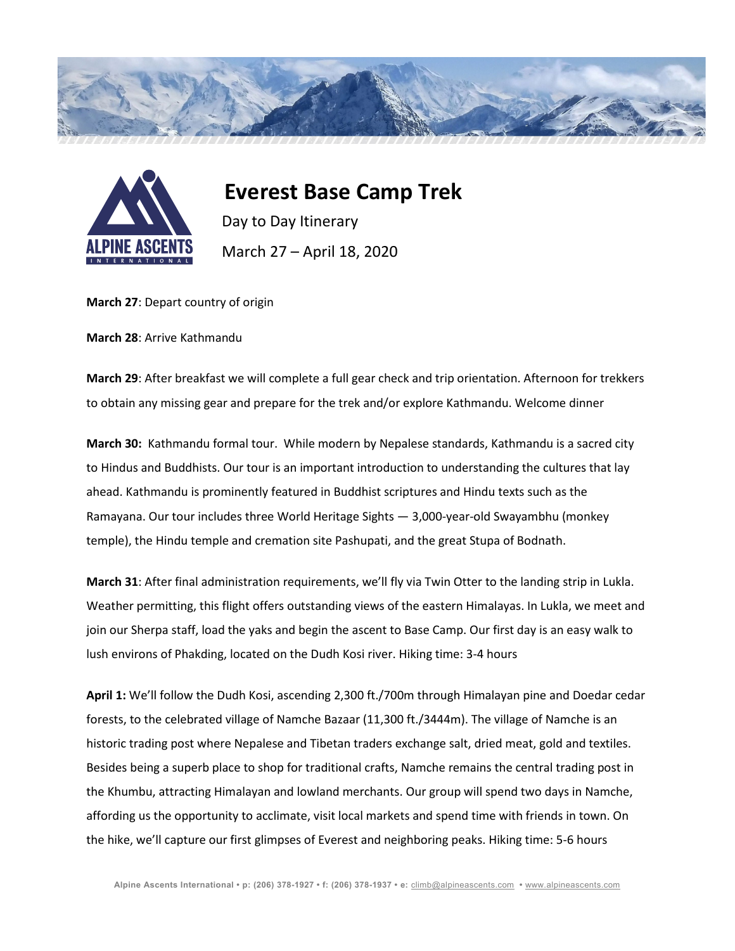



 **Everest Base Camp Trek** Day to Day Itinerary March 27 – April 18, 2020

**March 27**: Depart country of origin

**March 28**: Arrive Kathmandu

**March 29**: After breakfast we will complete a full gear check and trip orientation. Afternoon for trekkers to obtain any missing gear and prepare for the trek and/or explore Kathmandu. Welcome dinner

**March 30:** Kathmandu formal tour. While modern by Nepalese standards, Kathmandu is a sacred city to Hindus and Buddhists. Our tour is an important introduction to understanding the cultures that lay ahead. Kathmandu is prominently featured in Buddhist scriptures and Hindu texts such as the Ramayana. Our tour includes three World Heritage Sights — 3,000-year-old Swayambhu (monkey temple), the Hindu temple and cremation site Pashupati, and the great Stupa of Bodnath.

**March 31**: After final administration requirements, we'll fly via Twin Otter to the landing strip in Lukla. Weather permitting, this flight offers outstanding views of the eastern Himalayas. In Lukla, we meet and join our Sherpa staff, load the yaks and begin the ascent to Base Camp. Our first day is an easy walk to lush environs of Phakding, located on the Dudh Kosi river. Hiking time: 3-4 hours

**April 1:** We'll follow the Dudh Kosi, ascending 2,300 ft./700m through Himalayan pine and Doedar cedar forests, to the celebrated village of Namche Bazaar (11,300 ft./3444m). The village of Namche is an historic trading post where Nepalese and Tibetan traders exchange salt, dried meat, gold and textiles. Besides being a superb place to shop for traditional crafts, Namche remains the central trading post in the Khumbu, attracting Himalayan and lowland merchants. Our group will spend two days in Namche, affording us the opportunity to acclimate, visit local markets and spend time with friends in town. On the hike, we'll capture our first glimpses of Everest and neighboring peaks. Hiking time: 5-6 hours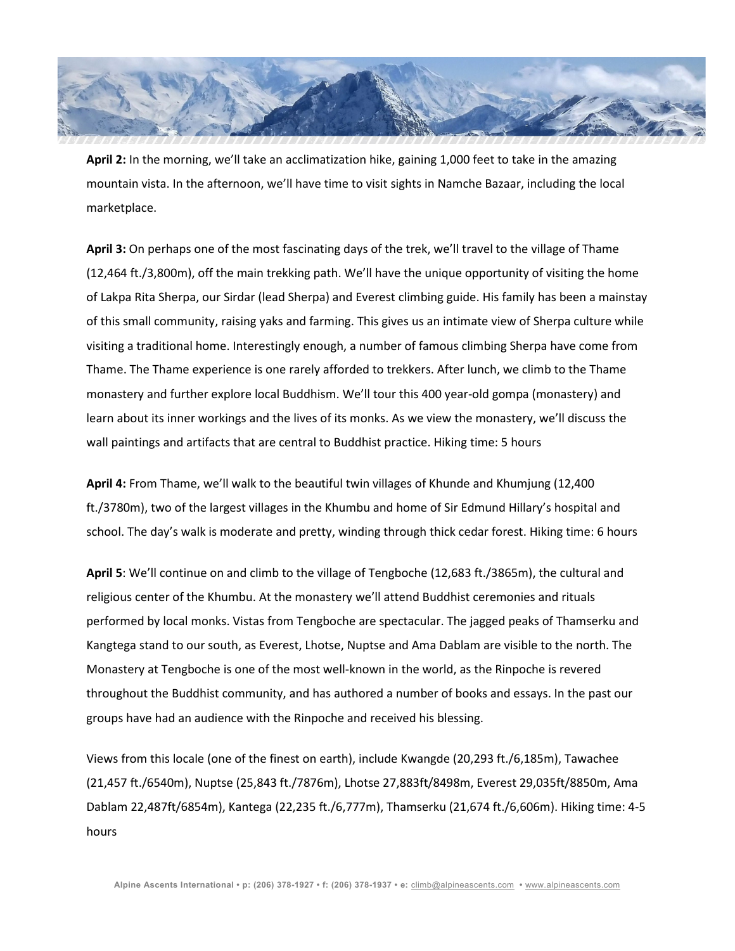

**April 2:** In the morning, we'll take an acclimatization hike, gaining 1,000 feet to take in the amazing mountain vista. In the afternoon, we'll have time to visit sights in Namche Bazaar, including the local marketplace.

**April 3:** On perhaps one of the most fascinating days of the trek, we'll travel to the village of Thame (12,464 ft./3,800m), off the main trekking path. We'll have the unique opportunity of visiting the home of Lakpa Rita Sherpa, our Sirdar (lead Sherpa) and Everest climbing guide. His family has been a mainstay of this small community, raising yaks and farming. This gives us an intimate view of Sherpa culture while visiting a traditional home. Interestingly enough, a number of famous climbing Sherpa have come from Thame. The Thame experience is one rarely afforded to trekkers. After lunch, we climb to the Thame monastery and further explore local Buddhism. We'll tour this 400 year-old gompa (monastery) and learn about its inner workings and the lives of its monks. As we view the monastery, we'll discuss the wall paintings and artifacts that are central to Buddhist practice. Hiking time: 5 hours

**April 4:** From Thame, we'll walk to the beautiful twin villages of Khunde and Khumjung (12,400 ft./3780m), two of the largest villages in the Khumbu and home of Sir Edmund Hillary's hospital and school. The day's walk is moderate and pretty, winding through thick cedar forest. Hiking time: 6 hours

**April 5**: We'll continue on and climb to the village of Tengboche (12,683 ft./3865m), the cultural and religious center of the Khumbu. At the monastery we'll attend Buddhist ceremonies and rituals performed by local monks. Vistas from Tengboche are spectacular. The jagged peaks of Thamserku and Kangtega stand to our south, as Everest, Lhotse, Nuptse and Ama Dablam are visible to the north. The Monastery at Tengboche is one of the most well-known in the world, as the Rinpoche is revered throughout the Buddhist community, and has authored a number of books and essays. In the past our groups have had an audience with the Rinpoche and received his blessing.

Views from this locale (one of the finest on earth), include Kwangde (20,293 ft./6,185m), Tawachee (21,457 ft./6540m), Nuptse (25,843 ft./7876m), Lhotse 27,883ft/8498m, Everest 29,035ft/8850m, Ama Dablam 22,487ft/6854m), Kantega (22,235 ft./6,777m), Thamserku (21,674 ft./6,606m). Hiking time: 4-5 hours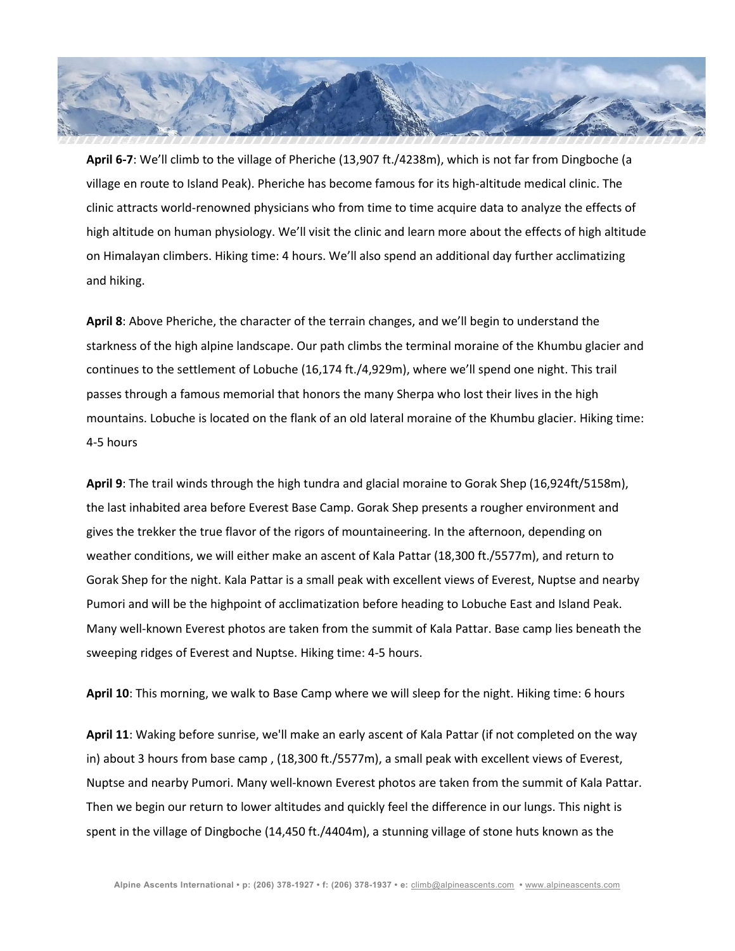

**April 6-7**: We'll climb to the village of Pheriche (13,907 ft./4238m), which is not far from Dingboche (a village en route to Island Peak). Pheriche has become famous for its high-altitude medical clinic. The clinic attracts world-renowned physicians who from time to time acquire data to analyze the effects of high altitude on human physiology. We'll visit the clinic and learn more about the effects of high altitude on Himalayan climbers. Hiking time: 4 hours. We'll also spend an additional day further acclimatizing and hiking.

**April 8**: Above Pheriche, the character of the terrain changes, and we'll begin to understand the starkness of the high alpine landscape. Our path climbs the terminal moraine of the Khumbu glacier and continues to the settlement of Lobuche (16,174 ft./4,929m), where we'll spend one night. This trail passes through a famous memorial that honors the many Sherpa who lost their lives in the high mountains. Lobuche is located on the flank of an old lateral moraine of the Khumbu glacier. Hiking time: 4-5 hours

**April 9**: The trail winds through the high tundra and glacial moraine to Gorak Shep (16,924ft/5158m), the last inhabited area before Everest Base Camp. Gorak Shep presents a rougher environment and gives the trekker the true flavor of the rigors of mountaineering. In the afternoon, depending on weather conditions, we will either make an ascent of Kala Pattar (18,300 ft./5577m), and return to Gorak Shep for the night. Kala Pattar is a small peak with excellent views of Everest, Nuptse and nearby Pumori and will be the highpoint of acclimatization before heading to Lobuche East and Island Peak. Many well-known Everest photos are taken from the summit of Kala Pattar. Base camp lies beneath the sweeping ridges of Everest and Nuptse. Hiking time: 4-5 hours.

**April 10**: This morning, we walk to Base Camp where we will sleep for the night. Hiking time: 6 hours

**April 11**: Waking before sunrise, we'll make an early ascent of Kala Pattar (if not completed on the way in) about 3 hours from base camp , (18,300 ft./5577m), a small peak with excellent views of Everest, Nuptse and nearby Pumori. Many well-known Everest photos are taken from the summit of Kala Pattar. Then we begin our return to lower altitudes and quickly feel the difference in our lungs. This night is spent in the village of Dingboche (14,450 ft./4404m), a stunning village of stone huts known as the